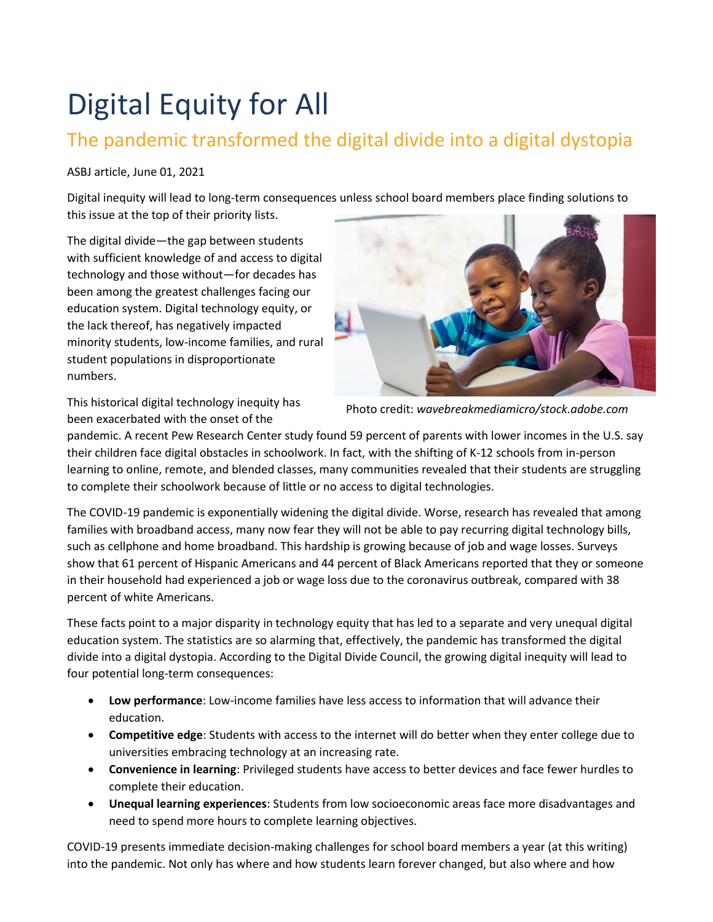## Digital Equity for All

## The pandemic transformed the digital divide into a digital dystopia

## ASBJ article, June 01, 2021

Digital inequity will lead to long-term consequences unless school board members place finding solutions to this issue at the top of their priority lists.

The digital divide—the gap between students with sufficient knowledge of and access to digital technology and those without—for decades has been among the greatest challenges facing our education system. Digital technology equity, or the lack thereof, has negatively impacted minority students, low-income families, and rural student populations in disproportionate numbers.



This historical digital technology inequity has been exacerbated with the onset of the

Photo credit: *wavebreakmediamicro/stock.adobe.com*

pandemic. A recent Pew Research Center study found 59 percent of parents with lower incomes in the U.S. say their children face digital obstacles in schoolwork. In fact, with the shifting of K-12 schools from in-person learning to online, remote, and blended classes, many communities revealed that their students are struggling to complete their schoolwork because of little or no access to digital technologies.

The COVID-19 pandemic is exponentially widening the digital divide. Worse, research has revealed that among families with broadband access, many now fear they will not be able to pay recurring digital technology bills, such as cellphone and home broadband. This hardship is growing because of job and wage losses. Surveys show that 61 percent of Hispanic Americans and 44 percent of Black Americans reported that they or someone in their household had experienced a job or wage loss due to the coronavirus outbreak, compared with 38 percent of white Americans.

These facts point to a major disparity in technology equity that has led to a separate and very unequal digital education system. The statistics are so alarming that, effectively, the pandemic has transformed the digital divide into a digital dystopia. According to the Digital Divide Council, the growing digital inequity will lead to four potential long-term consequences:

- **Low performance**: Low-income families have less access to information that will advance their education.
- **Competitive edge**: Students with access to the internet will do better when they enter college due to universities embracing technology at an increasing rate.
- **Convenience in learning**: Privileged students have access to better devices and face fewer hurdles to complete their education.
- **Unequal learning experiences**: Students from low socioeconomic areas face more disadvantages and need to spend more hours to complete learning objectives.

COVID-19 presents immediate decision-making challenges for school board members a year (at this writing) into the pandemic. Not only has where and how students learn forever changed, but also where and how